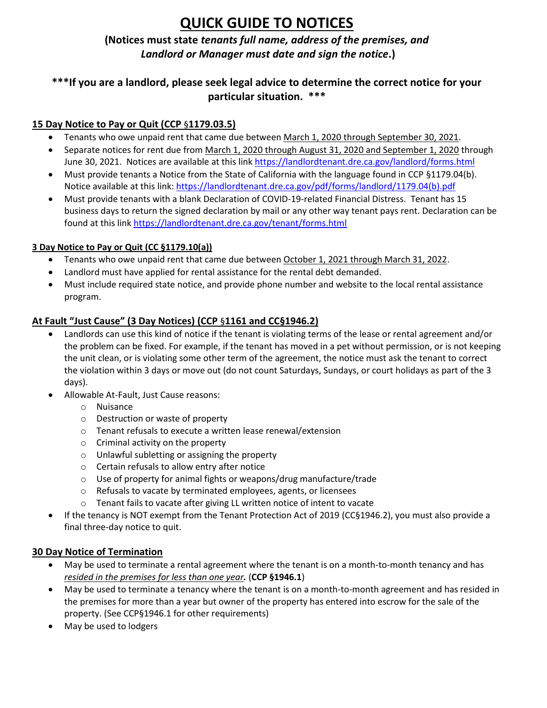# **QUICK GUIDE TO NOTICES**

## **(Notices must state** *tenants full name, address of the premises, and Landlord or Manager must date and sign the notice***.)**

## **\*\*\*If you are a landlord, please seek legal advice to determine the correct notice for your particular situation. \*\*\***

## **15 Day Notice to Pay or Quit (CCP** §**1179.03.5)**

- Tenants who owe unpaid rent that came due between March 1, 2020 through September 30, 2021.
- Separate notices for rent due from March 1, 2020 through August 31, 2020 and September 1, 2020 through June 30, 2021. Notices are available at this link<https://landlordtenant.dre.ca.gov/landlord/forms.html>
- Must provide tenants a Notice from the State of California with the language found in CCP §1179.04(b). Notice available at this link: [https://landlordtenant.dre.ca.gov/pdf/forms/landlord/1179.04\(b\).pdf](https://landlordtenant.dre.ca.gov/pdf/forms/landlord/1179.04(b).pdf)
- Must provide tenants with a blank Declaration of COVID-19-related Financial Distress. Tenant has 15 business days to return the signed declaration by mail or any other way tenant pays rent. Declaration can be found at this lin[k https://landlordtenant.dre.ca.gov/tenant/forms.html](https://landlordtenant.dre.ca.gov/tenant/forms.html)

## **3 Day Notice to Pay or Quit (CC §1179.10(a))**

- Tenants who owe unpaid rent that came due between October 1, 2021 through March 31, 2022.
- Landlord must have applied for rental assistance for the rental debt demanded.
- Must include required state notice, and provide phone number and website to the local rental assistance program.

## **At Fault "Just Cause" (3 Day Notices) (CCP** §**1161 and CC§1946.2)**

- Landlords can use this kind of notice if the tenant is violating terms of the lease or rental agreement and/or the problem can be fixed. For example, if the tenant has moved in a pet without permission, or is not keeping the unit clean, or is violating some other term of the agreement, the notice must ask the tenant to correct the violation within 3 days or move out (do not count Saturdays, Sundays, or court holidays as part of the 3 days).
- Allowable At-Fault, Just Cause reasons:
	- o Nuisance
	- o Destruction or waste of property
	- o Tenant refusals to execute a written lease renewal/extension
	- o Criminal activity on the property
	- o Unlawful subletting or assigning the property
	- o Certain refusals to allow entry after notice
	- o Use of property for animal fights or weapons/drug manufacture/trade
	- o Refusals to vacate by terminated employees, agents, or licensees
	- o Tenant fails to vacate after giving LL written notice of intent to vacate
- If the tenancy is NOT exempt from the Tenant Protection Act of 2019 (CC§1946.2), you must also provide a final three-day notice to quit.

## **30 Day Notice of Termination**

- May be used to terminate a rental agreement where the tenant is on a month-to-month tenancy and has *resided in the premises for less than one year.* (**CCP §1946.1**)
- May be used to terminate a tenancy where the tenant is on a month-to-month agreement and has resided in the premises for more than a year but owner of the property has entered into escrow for the sale of the property. (See CCP§1946.1 for other requirements)
- May be used to lodgers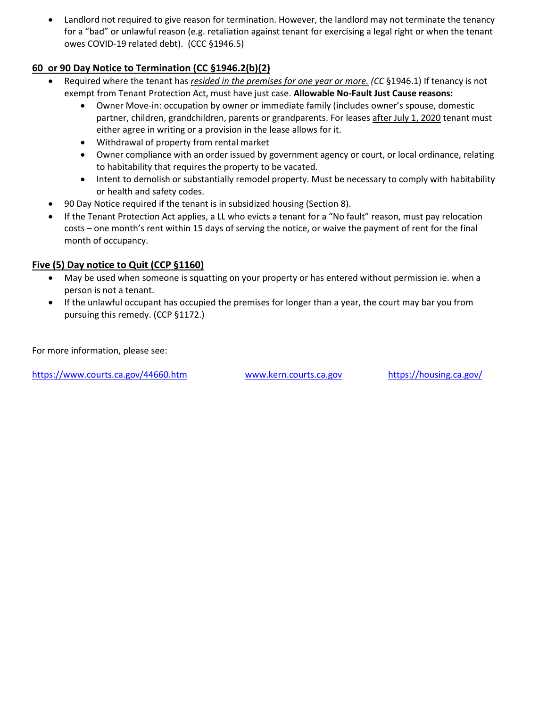Landlord not required to give reason for termination. However, the landlord may not terminate the tenancy for a "bad" or unlawful reason (e.g. retaliation against tenant for exercising a legal right or when the tenant owes COVID-19 related debt). (CCC §1946.5)

## **60 or 90 Day Notice to Termination (CC §1946.2(b)(2)**

- Required where the tenant has *resided in the premises for one year or more. (CC* §1946.1) If tenancy is not exempt from Tenant Protection Act, must have just case. **Allowable No-Fault Just Cause reasons:**
	- Owner Move-in: occupation by owner or immediate family (includes owner's spouse, domestic partner, children, grandchildren, parents or grandparents. For leases after July 1, 2020 tenant must either agree in writing or a provision in the lease allows for it.
	- Withdrawal of property from rental market
	- Owner compliance with an order issued by government agency or court, or local ordinance, relating to habitability that requires the property to be vacated.
	- Intent to demolish or substantially remodel property. Must be necessary to comply with habitability or health and safety codes.
- 90 Day Notice required if the tenant is in subsidized housing (Section 8).
- If the Tenant Protection Act applies, a LL who evicts a tenant for a "No fault" reason, must pay relocation costs – one month's rent within 15 days of serving the notice, or waive the payment of rent for the final month of occupancy.

## **Five (5) Day notice to Quit (CCP §1160)**

- May be used when someone is squatting on your property or has entered without permission ie. when a person is not a tenant.
- If the unlawful occupant has occupied the premises for longer than a year, the court may bar you from pursuing this remedy. (CCP §1172.)

For more information, please see:

<https://www.courts.ca.gov/44660.htm> [www.kern.courts.ca.gov](http://www.kern.courts.ca.gov/) <https://housing.ca.gov/>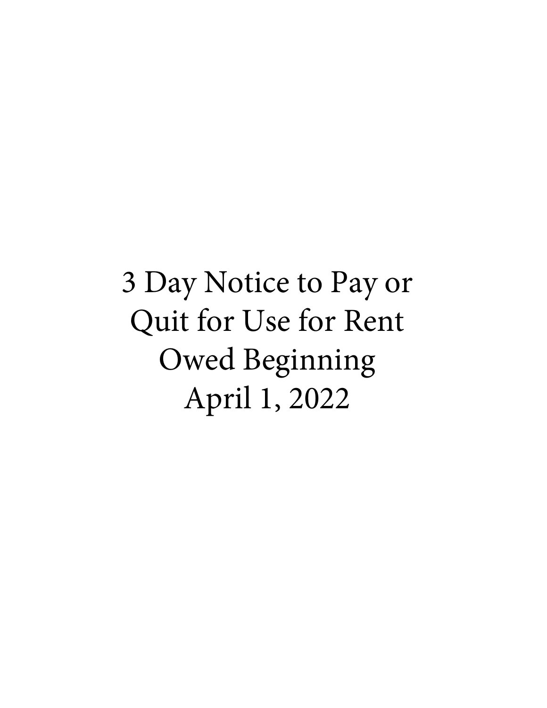3 Day Notice to Pay or Quit for Use for Rent Owed Beginning April 1, 2022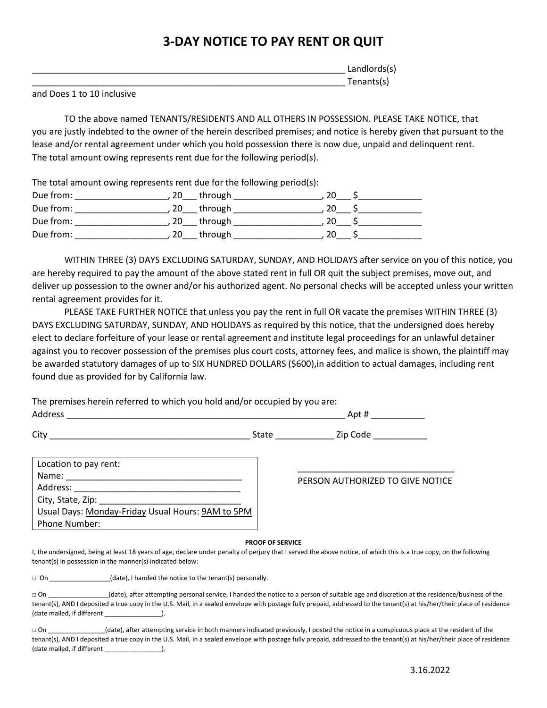## **3-DAY NOTICE TO PAY RENT OR QUIT**

|             |   |  |  | Landlords(s) |  |
|-------------|---|--|--|--------------|--|
|             |   |  |  | Tenants(s)   |  |
| $\cdot$ $-$ | . |  |  |              |  |

and Does 1 to 10 inclusive

TO the above named TENANTS/RESIDENTS AND ALL OTHERS IN POSSESSION. PLEASE TAKE NOTICE, that you are justly indebted to the owner of the herein described premises; and notice is hereby given that pursuant to the lease and/or rental agreement under which you hold possession there is now due, unpaid and delinquent rent. The total amount owing represents rent due for the following period(s).

The total amount owing represents rent due for the following period(s):

| Due from: |    | through |    |  |
|-----------|----|---------|----|--|
| Due from: |    | through |    |  |
| Due from: | 20 | through |    |  |
| Due from: |    | through | 20 |  |

WITHIN THREE (3) DAYS EXCLUDING SATURDAY, SUNDAY, AND HOLIDAYS after service on you of this notice, you are hereby required to pay the amount of the above stated rent in full OR quit the subject premises, move out, and deliver up possession to the owner and/or his authorized agent. No personal checks will be accepted unless your written rental agreement provides for it.

PLEASE TAKE FURTHER NOTICE that unless you pay the rent in full OR vacate the premises WITHIN THREE (3) DAYS EXCLUDING SATURDAY, SUNDAY, AND HOLIDAYS as required by this notice, that the undersigned does hereby elect to declare forfeiture of your lease or rental agreement and institute legal proceedings for an unlawful detainer against you to recover possession of the premises plus court costs, attorney fees, and malice is shown, the plaintiff may be awarded statutory damages of up to SIX HUNDRED DOLLARS (\$600),in addition to actual damages, including rent found due as provided for by California law.

The premises herein referred to which you hold and/or occupied by you are: Address \_\_\_\_\_\_\_\_\_\_\_\_\_\_\_\_\_\_\_\_\_\_\_\_\_\_\_\_\_\_\_\_\_\_\_\_\_\_\_\_\_\_\_\_\_\_\_\_\_\_\_\_\_\_\_\_\_ Apt # \_\_\_\_\_\_\_\_\_\_\_

City \_\_\_\_\_\_\_\_\_\_\_\_\_\_\_\_\_\_\_\_\_\_\_\_\_\_\_\_\_\_\_\_\_\_\_\_\_\_\_\_\_ State \_\_\_\_\_\_\_\_\_\_\_\_ Zip Code \_\_\_\_\_\_\_\_\_\_\_

| Location to pay rent:                             |                                  |
|---------------------------------------------------|----------------------------------|
| Name:                                             | PERSON AUTHORIZED TO GIVE NOTICE |
| Address:                                          |                                  |
|                                                   |                                  |
| Usual Days: Monday-Friday Usual Hours: 9AM to 5PM |                                  |
| Phone Number:                                     |                                  |

#### **PROOF OF SERVICE**

I, the undersigned, being at least 18 years of age, declare under penalty of perjury that I served the above notice, of which this is a true copy, on the following tenant(s) in possession in the manner(s) indicated below:

□ On \_\_\_\_\_\_\_\_\_\_\_\_\_\_\_(date), I handed the notice to the tenant(s) personally.

| $\sqcap$ On                | (date), after attempting personal service, I handed the notice to a person of suitable age and discretion at the residence/business of the                               |
|----------------------------|--------------------------------------------------------------------------------------------------------------------------------------------------------------------------|
|                            | tenant(s), AND I deposited a true copy in the U.S. Mail, in a sealed envelope with postage fully prepaid, addressed to the tenant(s) at his/her/their place of residence |
| (date mailed, if different |                                                                                                                                                                          |

(date), after attempting service in both manners indicated previously, I posted the notice in a conspicuous place at the resident of the tenant(s), AND I deposited a true copy in the U.S. Mail, in a sealed envelope with postage fully prepaid, addressed to the tenant(s) at his/her/their place of residence (date mailed, if different \_\_\_\_\_\_\_\_\_\_\_\_\_\_\_\_).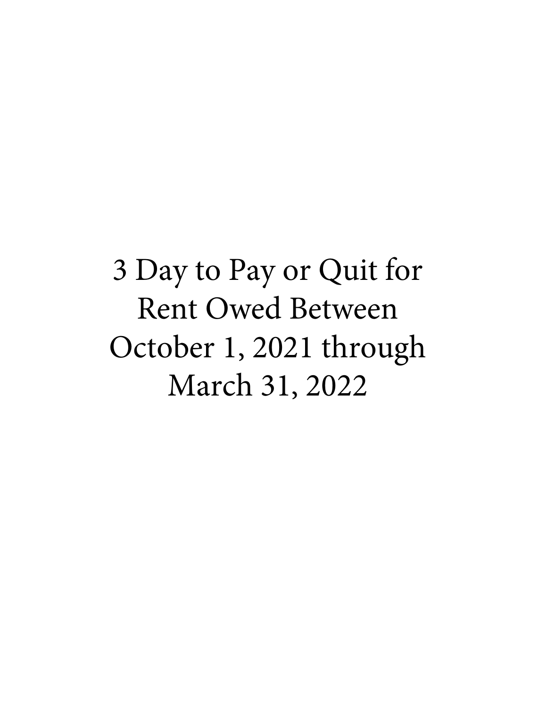3 Day to Pay or Quit for Rent Owed Between October 1, 2021 through March 31, 2022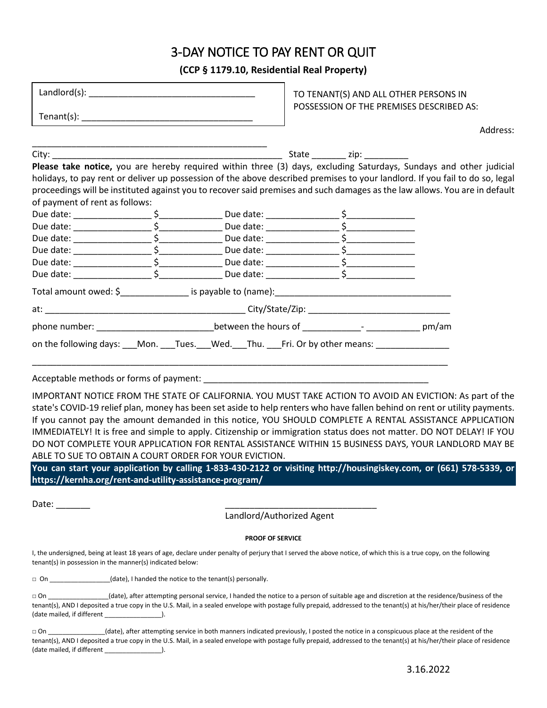# 3-DAY NOTICE TO PAY RENT OR QUIT

**(CCP § 1179.10, Residential Real Property)**

|                                                                                                                                                                                                                                                                                                                                                                                  |  |  | TO TENANT(S) AND ALL OTHER PERSONS IN<br>POSSESSION OF THE PREMISES DESCRIBED AS: |  |  |          |
|----------------------------------------------------------------------------------------------------------------------------------------------------------------------------------------------------------------------------------------------------------------------------------------------------------------------------------------------------------------------------------|--|--|-----------------------------------------------------------------------------------|--|--|----------|
| $\begin{picture}(150,10) \put(0,0){\vector(1,0){100}} \put(15,0){\vector(1,0){100}} \put(15,0){\vector(1,0){100}} \put(15,0){\vector(1,0){100}} \put(15,0){\vector(1,0){100}} \put(15,0){\vector(1,0){100}} \put(15,0){\vector(1,0){100}} \put(15,0){\vector(1,0){100}} \put(15,0){\vector(1,0){100}} \put(15,0){\vector(1,0){100}} \put(15,0){\vector(1,0){100}}$               |  |  |                                                                                   |  |  |          |
|                                                                                                                                                                                                                                                                                                                                                                                  |  |  |                                                                                   |  |  | Address: |
|                                                                                                                                                                                                                                                                                                                                                                                  |  |  |                                                                                   |  |  |          |
| Please take notice, you are hereby required within three (3) days, excluding Saturdays, Sundays and other judicial<br>holidays, to pay rent or deliver up possession of the above described premises to your landlord. If you fail to do so, legal<br>proceedings will be instituted against you to recover said premises and such damages as the law allows. You are in default |  |  |                                                                                   |  |  |          |
| of payment of rent as follows:                                                                                                                                                                                                                                                                                                                                                   |  |  |                                                                                   |  |  |          |
|                                                                                                                                                                                                                                                                                                                                                                                  |  |  |                                                                                   |  |  |          |
|                                                                                                                                                                                                                                                                                                                                                                                  |  |  |                                                                                   |  |  |          |
|                                                                                                                                                                                                                                                                                                                                                                                  |  |  |                                                                                   |  |  |          |
|                                                                                                                                                                                                                                                                                                                                                                                  |  |  |                                                                                   |  |  |          |
|                                                                                                                                                                                                                                                                                                                                                                                  |  |  |                                                                                   |  |  |          |
|                                                                                                                                                                                                                                                                                                                                                                                  |  |  |                                                                                   |  |  |          |
|                                                                                                                                                                                                                                                                                                                                                                                  |  |  |                                                                                   |  |  |          |
| phone number: ________________________________between the hours of _____________- _________________ pm/am                                                                                                                                                                                                                                                                        |  |  |                                                                                   |  |  |          |
| on the following days: ___Mon. ___Tues. ___Wed. ___Thu. ____Fri. Or by other means: _______________                                                                                                                                                                                                                                                                              |  |  |                                                                                   |  |  |          |
|                                                                                                                                                                                                                                                                                                                                                                                  |  |  |                                                                                   |  |  |          |
| IMPORTANT NOTICE FROM THE STATE OF CALIFORNIA. YOU MUST TAKE ACTION TO AVOID AN EVICTION: As part of the<br>state's COVID-19 relief plan, money has been set aside to help renters who have fallen behind on rent or utility payments.                                                                                                                                           |  |  |                                                                                   |  |  |          |

state's COVID-19 relief plan, money has been set aside to help renters who have fallen behind on rent or utility payments. If you cannot pay the amount demanded in this notice, YOU SHOULD COMPLETE A RENTAL ASSISTANCE APPLICATION IMMEDIATELY! It is free and simple to apply. Citizenship or immigration status does not matter. DO NOT DELAY! IF YOU DO NOT COMPLETE YOUR APPLICATION FOR RENTAL ASSISTANCE WITHIN 15 BUSINESS DAYS, YOUR LANDLORD MAY BE ABLE TO SUE TO OBTAIN A COURT ORDER FOR YOUR EVICTION.

**You can start your application by calling 1-833-430-2122 or visiting http://housingiskey.com, or (661) 578-5339, or https://kernha.org/rent-and-utility-assistance-program/**

Date: \_\_\_\_\_\_\_ \_\_\_\_\_\_\_\_\_\_\_\_\_\_\_\_\_\_\_\_\_\_\_\_\_\_\_\_\_\_\_

Landlord/Authorized Agent

#### **PROOF OF SERVICE**

I, the undersigned, being at least 18 years of age, declare under penalty of perjury that I served the above notice, of which this is a true copy, on the following tenant(s) in possession in the manner(s) indicated below:

□ On \_\_\_\_\_\_\_\_\_\_\_\_\_\_\_\_\_(date), I handed the notice to the tenant(s) personally.

| $\Box$ On                  | (date), after attempting personal service, I handed the notice to a person of suitable age and discretion at the residence/business of the                               |
|----------------------------|--------------------------------------------------------------------------------------------------------------------------------------------------------------------------|
|                            | tenant(s), AND I deposited a true copy in the U.S. Mail, in a sealed envelope with postage fully prepaid, addressed to the tenant(s) at his/her/their place of residence |
| (date mailed, if different |                                                                                                                                                                          |

□ On \_\_\_\_\_\_\_\_\_\_\_\_\_\_\_\_(date), after attempting service in both manners indicated previously, I posted the notice in a conspicuous place at the resident of the tenant(s), AND I deposited a true copy in the U.S. Mail, in a sealed envelope with postage fully prepaid, addressed to the tenant(s) at his/her/their place of residence (date mailed, if different \_\_\_\_\_\_\_\_\_\_\_\_\_\_\_\_).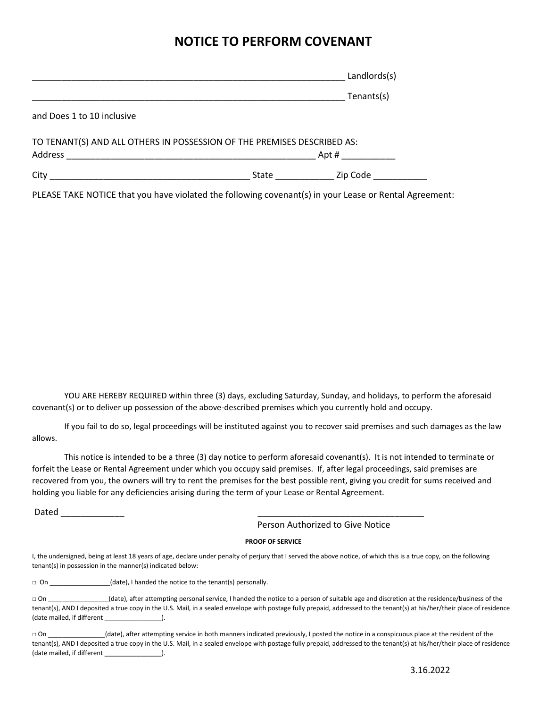# **NOTICE TO PERFORM COVENANT**

| Landlords(s)                                                            |
|-------------------------------------------------------------------------|
| Tenants(s)                                                              |
|                                                                         |
| TO TENANT(S) AND ALL OTHERS IN POSSESSION OF THE PREMISES DESCRIBED AS: |
| Apt #                                                                   |
| State Zip Code                                                          |
|                                                                         |

PLEASE TAKE NOTICE that you have violated the following covenant(s) in your Lease or Rental Agreement:

YOU ARE HEREBY REQUIRED within three (3) days, excluding Saturday, Sunday, and holidays, to perform the aforesaid covenant(s) or to deliver up possession of the above-described premises which you currently hold and occupy.

If you fail to do so, legal proceedings will be instituted against you to recover said premises and such damages as the law allows.

This notice is intended to be a three (3) day notice to perform aforesaid covenant(s). It is not intended to terminate or forfeit the Lease or Rental Agreement under which you occupy said premises. If, after legal proceedings, said premises are recovered from you, the owners will try to rent the premises for the best possible rent, giving you credit for sums received and holding you liable for any deficiencies arising during the term of your Lease or Rental Agreement.

Dated \_\_\_\_\_\_\_\_\_\_\_\_\_ \_\_\_\_\_\_\_\_\_\_\_\_\_\_\_\_\_\_\_\_\_\_\_\_\_\_\_\_\_\_\_\_\_\_

Person Authorized to Give Notice

#### **PROOF OF SERVICE**

I, the undersigned, being at least 18 years of age, declare under penalty of perjury that I served the above notice, of which this is a true copy, on the following tenant(s) in possession in the manner(s) indicated below:

□ On \_\_\_\_\_\_\_\_\_\_\_\_\_\_\_(date), I handed the notice to the tenant(s) personally.

□ On \_\_\_\_\_\_\_\_\_\_\_\_\_\_\_\_(date), after attempting personal service, I handed the notice to a person of suitable age and discretion at the residence/business of the tenant(s), AND I deposited a true copy in the U.S. Mail, in a sealed envelope with postage fully prepaid, addressed to the tenant(s) at his/her/their place of residence (date mailed, if different \_\_\_\_\_\_\_\_\_\_\_\_\_\_\_\_).

□ On \_\_\_\_\_\_\_\_\_\_\_\_\_\_\_\_(date), after attempting service in both manners indicated previously, I posted the notice in a conspicuous place at the resident of the tenant(s), AND I deposited a true copy in the U.S. Mail, in a sealed envelope with postage fully prepaid, addressed to the tenant(s) at his/her/their place of residence (date mailed, if different \_\_\_\_\_\_\_\_\_\_\_\_\_\_\_\_\_\_\_\_\_).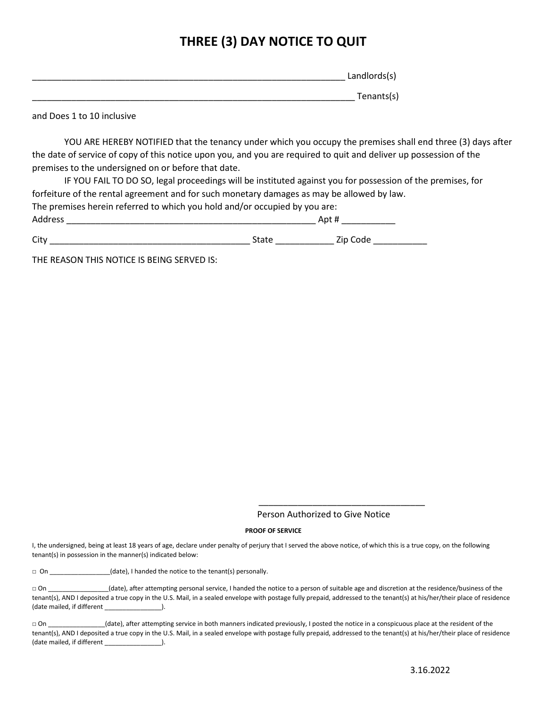# **THREE (3) DAY NOTICE TO QUIT**

| Landlords(s) |
|--------------|
|              |
| Tenants(s)   |

and Does 1 to 10 inclusive

YOU ARE HEREBY NOTIFIED that the tenancy under which you occupy the premises shall end three (3) days after the date of service of copy of this notice upon you, and you are required to quit and deliver up possession of the premises to the undersigned on or before that date.

IF YOU FAIL TO DO SO, legal proceedings will be instituted against you for possession of the premises, for forfeiture of the rental agreement and for such monetary damages as may be allowed by law. The premises herein referred to which you hold and/or occupied by you are: Address \_\_\_\_\_\_\_\_\_\_\_\_\_\_\_\_\_\_\_\_\_\_\_\_\_\_\_\_\_\_\_\_\_\_\_\_\_\_\_\_\_\_\_\_\_\_\_\_\_\_\_ Apt # \_\_\_\_\_\_\_\_\_\_\_ City \_\_\_\_\_\_\_\_\_\_\_\_\_\_\_\_\_\_\_\_\_\_\_\_\_\_\_\_\_\_\_\_\_\_\_\_\_\_\_\_\_ State \_\_\_\_\_\_\_\_\_\_\_\_ Zip Code \_\_\_\_\_\_\_\_\_\_\_

THE REASON THIS NOTICE IS BEING SERVED IS:

Person Authorized to Give Notice

 $\overline{\phantom{a}}$  , and the set of the set of the set of the set of the set of the set of the set of the set of the set of the set of the set of the set of the set of the set of the set of the set of the set of the set of the s

#### **PROOF OF SERVICE**

I, the undersigned, being at least 18 years of age, declare under penalty of perjury that I served the above notice, of which this is a true copy, on the following tenant(s) in possession in the manner(s) indicated below:

□ On \_\_\_\_\_\_\_\_\_\_\_\_\_\_\_\_\_(date), I handed the notice to the tenant(s) personally.

□ On \_\_\_\_\_\_\_\_\_\_\_\_\_\_\_\_(date), after attempting personal service, I handed the notice to a person of suitable age and discretion at the residence/business of the tenant(s), AND I deposited a true copy in the U.S. Mail, in a sealed envelope with postage fully prepaid, addressed to the tenant(s) at his/her/their place of residence (date mailed, if different \_\_\_\_\_\_\_\_\_\_\_\_\_\_\_\_\_).

□ On \_\_\_\_\_\_\_\_\_\_\_\_\_\_\_\_(date), after attempting service in both manners indicated previously, I posted the notice in a conspicuous place at the resident of the tenant(s), AND I deposited a true copy in the U.S. Mail, in a sealed envelope with postage fully prepaid, addressed to the tenant(s) at his/her/their place of residence (date mailed, if different \_\_\_\_\_\_\_\_\_\_\_\_\_\_\_\_).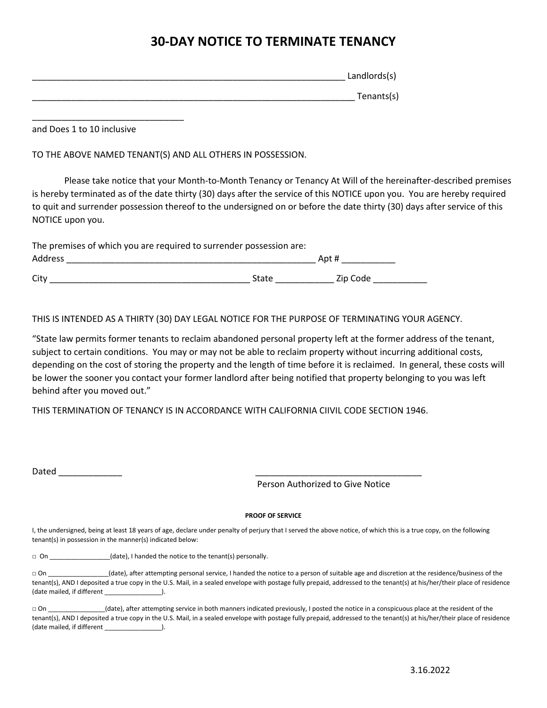# **30-DAY NOTICE TO TERMINATE TENANCY**

| Landlords(s) |
|--------------|
| Tenants(s)   |

and Does 1 to 10 inclusive

\_\_\_\_\_\_\_\_\_\_\_\_\_\_\_\_\_\_\_\_\_\_\_\_\_\_\_\_\_\_\_

TO THE ABOVE NAMED TENANT(S) AND ALL OTHERS IN POSSESSION.

Please take notice that your Month-to-Month Tenancy or Tenancy At Will of the hereinafter-described premises is hereby terminated as of the date thirty (30) days after the service of this NOTICE upon you. You are hereby required to quit and surrender possession thereof to the undersigned on or before the date thirty (30) days after service of this NOTICE upon you.

| The premises of which you are required to surrender possession are: |       |          |  |  |  |
|---------------------------------------------------------------------|-------|----------|--|--|--|
| <b>Address</b>                                                      |       | Apt #    |  |  |  |
| City                                                                | State | Zip Code |  |  |  |

THIS IS INTENDED AS A THIRTY (30) DAY LEGAL NOTICE FOR THE PURPOSE OF TERMINATING YOUR AGENCY.

"State law permits former tenants to reclaim abandoned personal property left at the former address of the tenant, subject to certain conditions. You may or may not be able to reclaim property without incurring additional costs, depending on the cost of storing the property and the length of time before it is reclaimed. In general, these costs will be lower the sooner you contact your former landlord after being notified that property belonging to you was left behind after you moved out."

THIS TERMINATION OF TENANCY IS IN ACCORDANCE WITH CALIFORNIA CIIVIL CODE SECTION 1946.

Dated \_\_\_\_\_\_\_\_\_\_\_\_\_ \_\_\_\_\_\_\_\_\_\_\_\_\_\_\_\_\_\_\_\_\_\_\_\_\_\_\_\_\_\_\_\_\_\_

Person Authorized to Give Notice

#### **PROOF OF SERVICE**

I, the undersigned, being at least 18 years of age, declare under penalty of perjury that I served the above notice, of which this is a true copy, on the following tenant(s) in possession in the manner(s) indicated below:

□ On \_\_\_\_\_\_\_\_\_\_\_\_\_\_\_\_(date), I handed the notice to the tenant(s) personally.

□ On \_\_\_\_\_\_\_\_\_\_\_\_\_\_\_\_(date), after attempting personal service, I handed the notice to a person of suitable age and discretion at the residence/business of the tenant(s), AND I deposited a true copy in the U.S. Mail, in a sealed envelope with postage fully prepaid, addressed to the tenant(s) at his/her/their place of residence (date mailed, if different  $\qquad \qquad$  ).

| $\sqcap$ On                | (date), after attempting service in both manners indicated previously, I posted the notice in a conspicuous place at the resident of the                                 |
|----------------------------|--------------------------------------------------------------------------------------------------------------------------------------------------------------------------|
|                            | tenant(s), AND I deposited a true copy in the U.S. Mail, in a sealed envelope with postage fully prepaid, addressed to the tenant(s) at his/her/their place of residence |
| (date mailed, if different |                                                                                                                                                                          |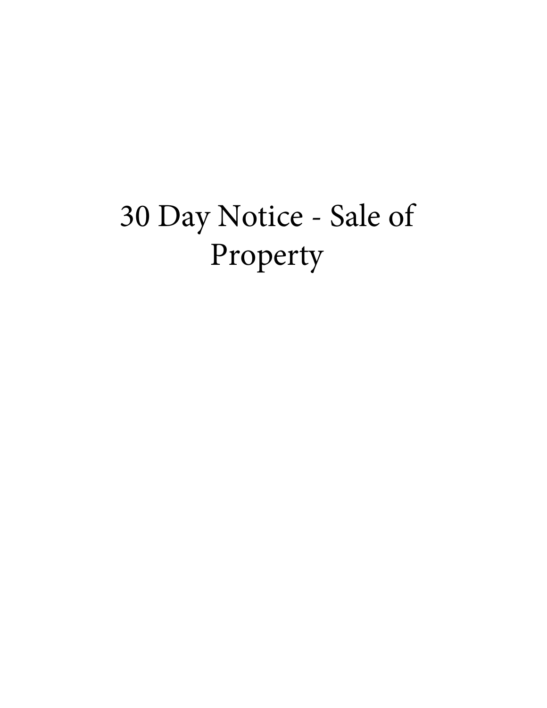# 30 Day Notice - Sale of Property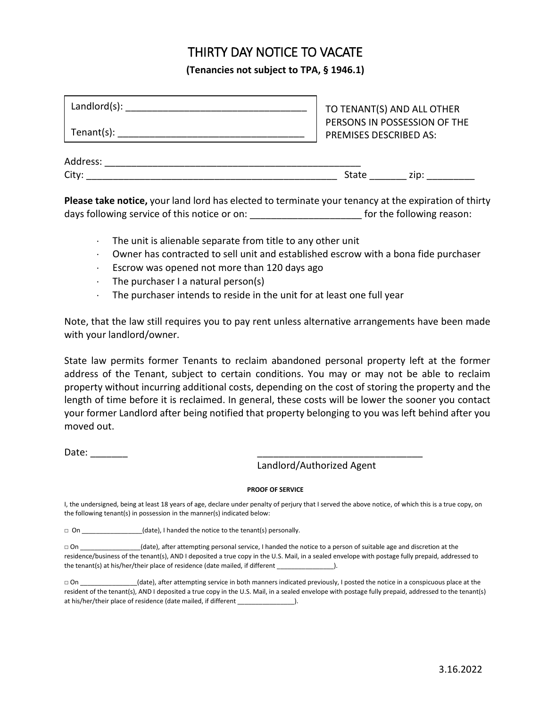# THIRTY DAY NOTICE TO VACATE

**(Tenancies not subject to TPA, § 1946.1)**

| Landlord(s): |                               | TO TENANT(S) AND ALL OTHER   |
|--------------|-------------------------------|------------------------------|
| Tenant(s):   | <b>PREMISES DESCRIBED AS:</b> | PERSONS IN POSSESSION OF THE |
| Address:     |                               |                              |
| City:        | State                         | zip:                         |

**Please take notice,** your land lord has elected to terminate your tenancy at the expiration of thirty days following service of this notice or on: \_\_\_\_\_\_\_\_\_\_\_\_\_\_\_\_\_\_\_\_\_\_\_\_\_\_\_\_\_\_\_ for the following reason:

- ⋅ The unit is alienable separate from title to any other unit
- Owner has contracted to sell unit and established escrow with a bona fide purchaser
- ⋅ Escrow was opened not more than 120 days ago
- The purchaser I a natural person(s)
- ⋅ The purchaser intends to reside in the unit for at least one full year

Note, that the law still requires you to pay rent unless alternative arrangements have been made with your landlord/owner.

State law permits former Tenants to reclaim abandoned personal property left at the former address of the Tenant, subject to certain conditions. You may or may not be able to reclaim property without incurring additional costs, depending on the cost of storing the property and the length of time before it is reclaimed. In general, these costs will be lower the sooner you contact your former Landlord after being notified that property belonging to you was left behind after you moved out.

Date:

Landlord/Authorized Agent

#### **PROOF OF SERVICE**

I, the undersigned, being at least 18 years of age, declare under penalty of perjury that I served the above notice, of which this is a true copy, on the following tenant(s) in possession in the manner(s) indicated below:

□ On \_\_\_\_\_\_\_\_\_\_\_\_\_\_\_\_(date), I handed the notice to the tenant(s) personally.

□ On \_\_\_\_\_\_\_\_\_\_\_\_\_\_\_\_\_(date), after attempting personal service, I handed the notice to a person of suitable age and discretion at the residence/business of the tenant(s), AND I deposited a true copy in the U.S. Mail, in a sealed envelope with postage fully prepaid, addressed to the tenant(s) at his/her/their place of residence (date mailed, if different \_\_\_\_\_\_\_\_\_\_\_\_\_\_\_\_\_).

□ On  $\Box$  (date), after attempting service in both manners indicated previously, I posted the notice in a conspicuous place at the resident of the tenant(s), AND I deposited a true copy in the U.S. Mail, in a sealed envelope with postage fully prepaid, addressed to the tenant(s) at his/her/their place of residence (date mailed, if different \_\_\_\_\_\_\_\_\_\_\_\_\_\_\_\_).